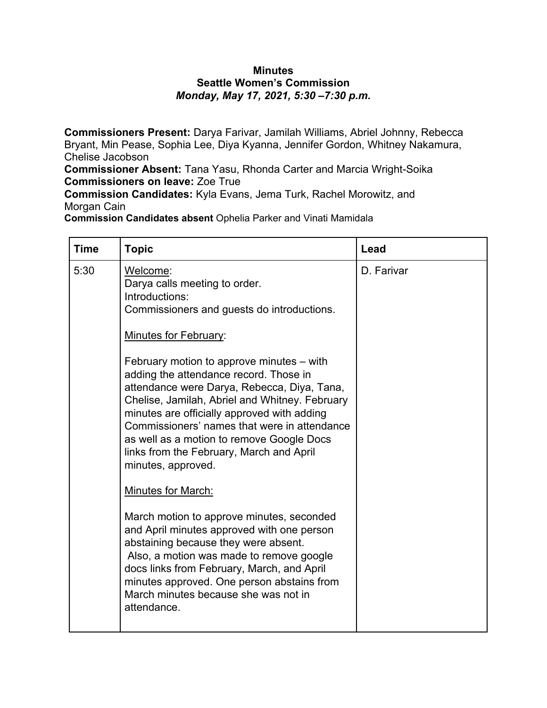## **Minutes Seattle Women's Commission** *Monday, May 17, 2021, 5:30 –7:30 p.m.*

**Commissioners Present:** Darya Farivar, Jamilah Williams, Abriel Johnny, Rebecca Bryant, Min Pease, Sophia Lee, Diya Kyanna, Jennifer Gordon, Whitney Nakamura, Chelise Jacobson

**Commissioner Absent:** Tana Yasu, Rhonda Carter and Marcia Wright-Soika **Commissioners on leave:** Zoe True

**Commission Candidates:** Kyla Evans, Jema Turk, Rachel Morowitz, and Morgan Cain

**Commission Candidates absent** Ophelia Parker and Vinati Mamidala

| <b>Time</b> | <b>Topic</b>                                                                                                                                                                                                                                                                                                                                                                                                                                                                                                                                                                                                       | Lead       |
|-------------|--------------------------------------------------------------------------------------------------------------------------------------------------------------------------------------------------------------------------------------------------------------------------------------------------------------------------------------------------------------------------------------------------------------------------------------------------------------------------------------------------------------------------------------------------------------------------------------------------------------------|------------|
| 5:30        | Welcome:<br>Darya calls meeting to order.<br>Introductions:<br>Commissioners and guests do introductions.<br><b>Minutes for February:</b><br>February motion to approve minutes - with<br>adding the attendance record. Those in<br>attendance were Darya, Rebecca, Diya, Tana,<br>Chelise, Jamilah, Abriel and Whitney. February<br>minutes are officially approved with adding<br>Commissioners' names that were in attendance<br>as well as a motion to remove Google Docs<br>links from the February, March and April<br>minutes, approved.<br>Minutes for March:<br>March motion to approve minutes, seconded | D. Farivar |
|             | and April minutes approved with one person<br>abstaining because they were absent.<br>Also, a motion was made to remove google<br>docs links from February, March, and April<br>minutes approved. One person abstains from<br>March minutes because she was not in<br>attendance.                                                                                                                                                                                                                                                                                                                                  |            |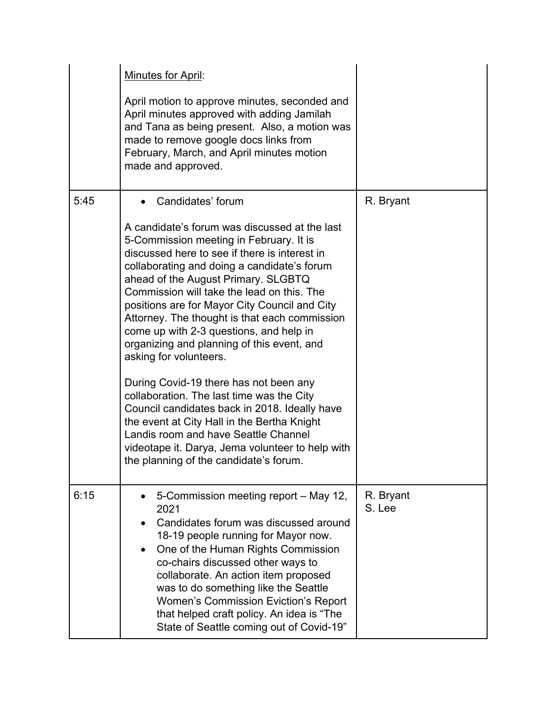|      | Minutes for April:<br>April motion to approve minutes, seconded and<br>April minutes approved with adding Jamilah<br>and Tana as being present. Also, a motion was<br>made to remove google docs links from<br>February, March, and April minutes motion<br>made and approved.                                                                                                                                                                                                                                                                                                                                                                                                                                                                                                                                                                       |                     |
|------|------------------------------------------------------------------------------------------------------------------------------------------------------------------------------------------------------------------------------------------------------------------------------------------------------------------------------------------------------------------------------------------------------------------------------------------------------------------------------------------------------------------------------------------------------------------------------------------------------------------------------------------------------------------------------------------------------------------------------------------------------------------------------------------------------------------------------------------------------|---------------------|
| 5:45 | Candidates' forum<br>A candidate's forum was discussed at the last<br>5-Commission meeting in February. It is<br>discussed here to see if there is interest in<br>collaborating and doing a candidate's forum<br>ahead of the August Primary. SLGBTQ<br>Commission will take the lead on this. The<br>positions are for Mayor City Council and City<br>Attorney. The thought is that each commission<br>come up with 2-3 questions, and help in<br>organizing and planning of this event, and<br>asking for volunteers.<br>During Covid-19 there has not been any<br>collaboration. The last time was the City<br>Council candidates back in 2018. Ideally have<br>the event at City Hall in the Bertha Knight<br>Landis room and have Seattle Channel<br>videotape it. Darya, Jema volunteer to help with<br>the planning of the candidate's forum. | R. Bryant           |
| 6:15 | 5-Commission meeting report - May 12,<br>2021<br>Candidates forum was discussed around<br>18-19 people running for Mayor now.<br>One of the Human Rights Commission<br>co-chairs discussed other ways to<br>collaborate. An action item proposed<br>was to do something like the Seattle<br><b>Women's Commission Eviction's Report</b><br>that helped craft policy. An idea is "The<br>State of Seattle coming out of Covid-19"                                                                                                                                                                                                                                                                                                                                                                                                                     | R. Bryant<br>S. Lee |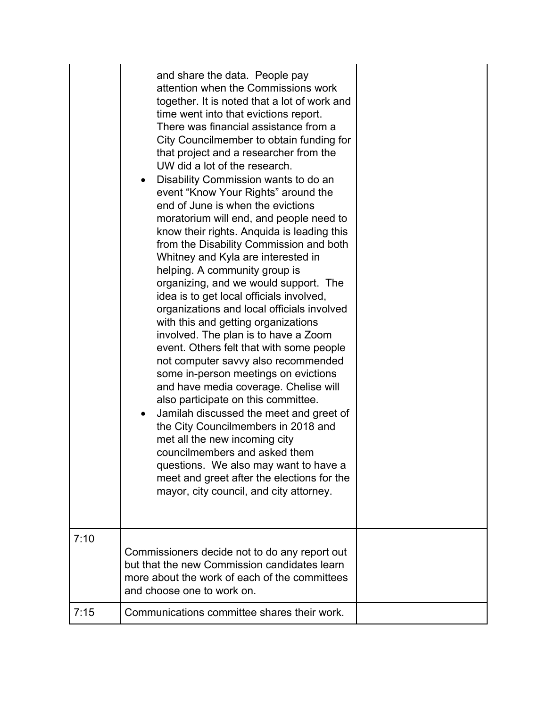|      | and share the data. People pay<br>attention when the Commissions work<br>together. It is noted that a lot of work and<br>time went into that evictions report.<br>There was financial assistance from a<br>City Councilmember to obtain funding for<br>that project and a researcher from the<br>UW did a lot of the research.<br>Disability Commission wants to do an<br>event "Know Your Rights" around the<br>end of June is when the evictions<br>moratorium will end, and people need to<br>know their rights. Anquida is leading this<br>from the Disability Commission and both<br>Whitney and Kyla are interested in<br>helping. A community group is<br>organizing, and we would support. The<br>idea is to get local officials involved,<br>organizations and local officials involved<br>with this and getting organizations<br>involved. The plan is to have a Zoom<br>event. Others felt that with some people<br>not computer savvy also recommended<br>some in-person meetings on evictions<br>and have media coverage. Chelise will<br>also participate on this committee.<br>Jamilah discussed the meet and greet of<br>$\bullet$<br>the City Councilmembers in 2018 and<br>met all the new incoming city<br>councilmembers and asked them<br>questions. We also may want to have a<br>meet and greet after the elections for the<br>mayor, city council, and city attorney. |  |
|------|-----------------------------------------------------------------------------------------------------------------------------------------------------------------------------------------------------------------------------------------------------------------------------------------------------------------------------------------------------------------------------------------------------------------------------------------------------------------------------------------------------------------------------------------------------------------------------------------------------------------------------------------------------------------------------------------------------------------------------------------------------------------------------------------------------------------------------------------------------------------------------------------------------------------------------------------------------------------------------------------------------------------------------------------------------------------------------------------------------------------------------------------------------------------------------------------------------------------------------------------------------------------------------------------------------------------------------------------------------------------------------------------------|--|
| 7:10 | Commissioners decide not to do any report out<br>but that the new Commission candidates learn<br>more about the work of each of the committees<br>and choose one to work on.                                                                                                                                                                                                                                                                                                                                                                                                                                                                                                                                                                                                                                                                                                                                                                                                                                                                                                                                                                                                                                                                                                                                                                                                                  |  |
| 7:15 | Communications committee shares their work.                                                                                                                                                                                                                                                                                                                                                                                                                                                                                                                                                                                                                                                                                                                                                                                                                                                                                                                                                                                                                                                                                                                                                                                                                                                                                                                                                   |  |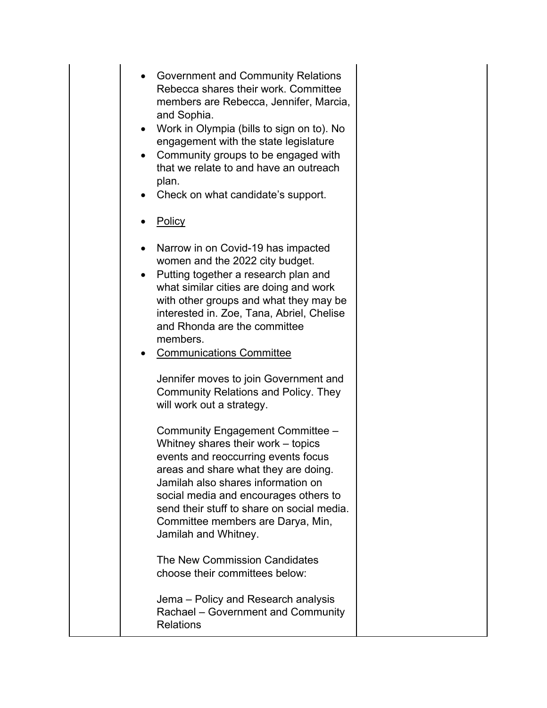- Government and Community Relations Rebecca shares their work. Committee members are Rebecca, Jennifer, Marcia, and Sophia.
- Work in Olympia (bills to sign on to). No engagement with the state legislature
- Community groups to be engaged with that we relate to and have an outreach plan.
- Check on what candidate's support.
- Policy
- Narrow in on Covid-19 has impacted women and the 2022 city budget.
- Putting together a research plan and what similar cities are doing and work with other groups and what they may be interested in. Zoe, Tana, Abriel, Chelise and Rhonda are the committee members.
- Communications Committee

Jennifer moves to join Government and Community Relations and Policy. They will work out a strategy.

Community Engagement Committee – Whitney shares their work – topics events and reoccurring events focus areas and share what they are doing. Jamilah also shares information on social media and encourages others to send their stuff to share on social media. Committee members are Darya, Min, Jamilah and Whitney.

The New Commission Candidates choose their committees below:

Jema – Policy and Research analysis Rachael – Government and Community Relations